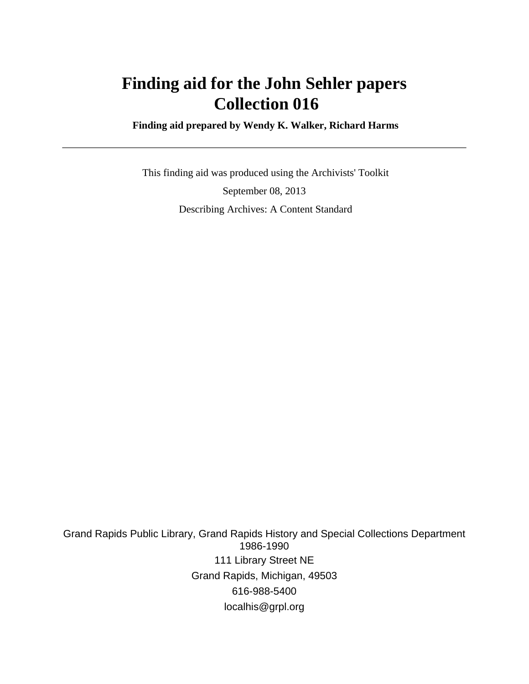## **Finding aid for the John Sehler papers Collection 016**

 **Finding aid prepared by Wendy K. Walker, Richard Harms**

 This finding aid was produced using the Archivists' Toolkit September 08, 2013 Describing Archives: A Content Standard

Grand Rapids Public Library, Grand Rapids History and Special Collections Department 1986-1990 111 Library Street NE Grand Rapids, Michigan, 49503 616-988-5400 localhis@grpl.org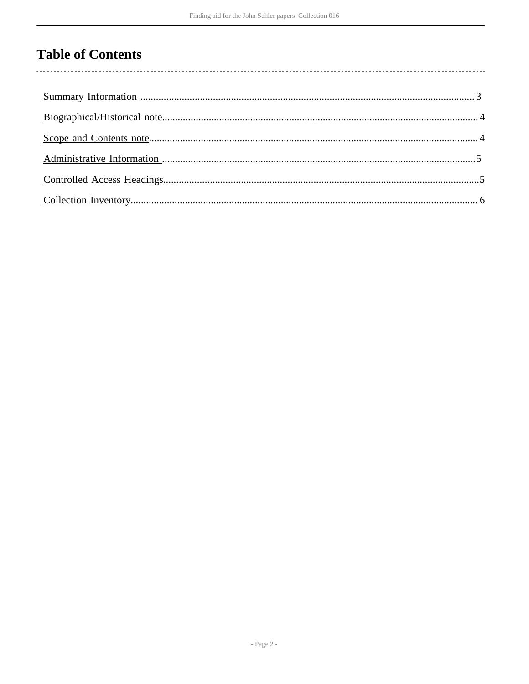## **Table of Contents**

 $\overline{\phantom{a}}$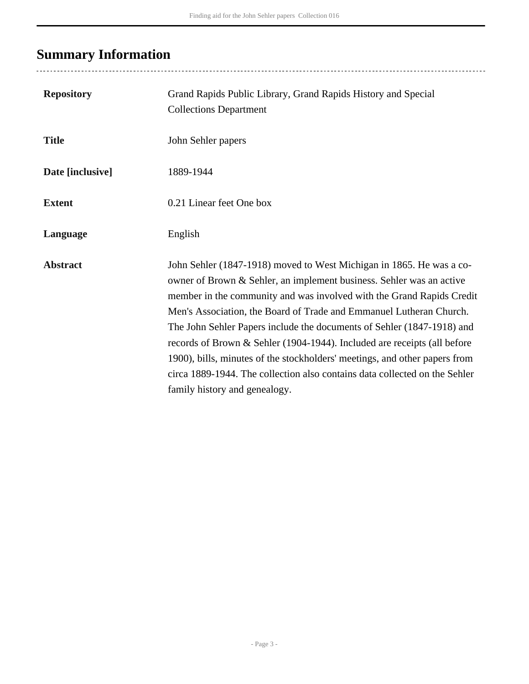## <span id="page-2-0"></span>**Summary Information**

| <b>Repository</b> | Grand Rapids Public Library, Grand Rapids History and Special<br><b>Collections Department</b>                                                                                                                                                                                                                                                                                                                                                                                                                                                                                                                                                  |
|-------------------|-------------------------------------------------------------------------------------------------------------------------------------------------------------------------------------------------------------------------------------------------------------------------------------------------------------------------------------------------------------------------------------------------------------------------------------------------------------------------------------------------------------------------------------------------------------------------------------------------------------------------------------------------|
| <b>Title</b>      | John Sehler papers                                                                                                                                                                                                                                                                                                                                                                                                                                                                                                                                                                                                                              |
| Date [inclusive]  | 1889-1944                                                                                                                                                                                                                                                                                                                                                                                                                                                                                                                                                                                                                                       |
| <b>Extent</b>     | 0.21 Linear feet One box                                                                                                                                                                                                                                                                                                                                                                                                                                                                                                                                                                                                                        |
| Language          | English                                                                                                                                                                                                                                                                                                                                                                                                                                                                                                                                                                                                                                         |
| <b>Abstract</b>   | John Sehler (1847-1918) moved to West Michigan in 1865. He was a co-<br>owner of Brown & Sehler, an implement business. Sehler was an active<br>member in the community and was involved with the Grand Rapids Credit<br>Men's Association, the Board of Trade and Emmanuel Lutheran Church.<br>The John Sehler Papers include the documents of Sehler (1847-1918) and<br>records of Brown & Sehler (1904-1944). Included are receipts (all before<br>1900), bills, minutes of the stockholders' meetings, and other papers from<br>circa 1889-1944. The collection also contains data collected on the Sehler<br>family history and genealogy. |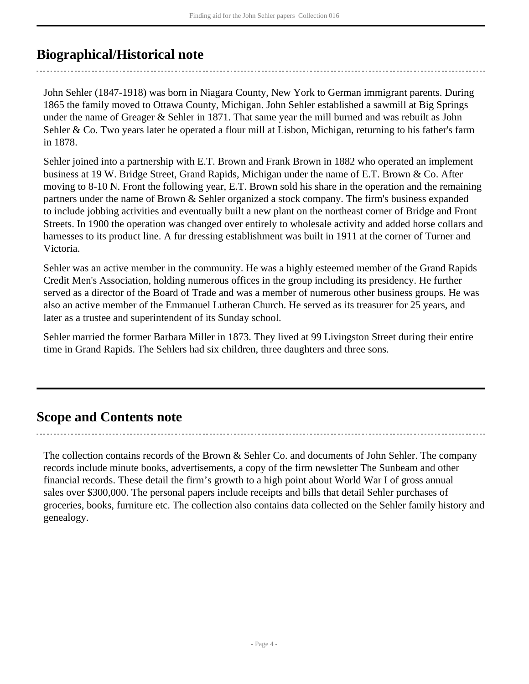### <span id="page-3-0"></span>**Biographical/Historical note**

John Sehler (1847-1918) was born in Niagara County, New York to German immigrant parents. During 1865 the family moved to Ottawa County, Michigan. John Sehler established a sawmill at Big Springs under the name of Greager & Sehler in 1871. That same year the mill burned and was rebuilt as John Sehler & Co. Two years later he operated a flour mill at Lisbon, Michigan, returning to his father's farm in 1878.

Sehler joined into a partnership with E.T. Brown and Frank Brown in 1882 who operated an implement business at 19 W. Bridge Street, Grand Rapids, Michigan under the name of E.T. Brown & Co. After moving to 8-10 N. Front the following year, E.T. Brown sold his share in the operation and the remaining partners under the name of Brown & Sehler organized a stock company. The firm's business expanded to include jobbing activities and eventually built a new plant on the northeast corner of Bridge and Front Streets. In 1900 the operation was changed over entirely to wholesale activity and added horse collars and harnesses to its product line. A fur dressing establishment was built in 1911 at the corner of Turner and Victoria.

Sehler was an active member in the community. He was a highly esteemed member of the Grand Rapids Credit Men's Association, holding numerous offices in the group including its presidency. He further served as a director of the Board of Trade and was a member of numerous other business groups. He was also an active member of the Emmanuel Lutheran Church. He served as its treasurer for 25 years, and later as a trustee and superintendent of its Sunday school.

Sehler married the former Barbara Miller in 1873. They lived at 99 Livingston Street during their entire time in Grand Rapids. The Sehlers had six children, three daughters and three sons.

### <span id="page-3-1"></span>**Scope and Contents note**

The collection contains records of the Brown & Sehler Co. and documents of John Sehler. The company records include minute books, advertisements, a copy of the firm newsletter The Sunbeam and other financial records. These detail the firm's growth to a high point about World War I of gross annual sales over \$300,000. The personal papers include receipts and bills that detail Sehler purchases of groceries, books, furniture etc. The collection also contains data collected on the Sehler family history and genealogy.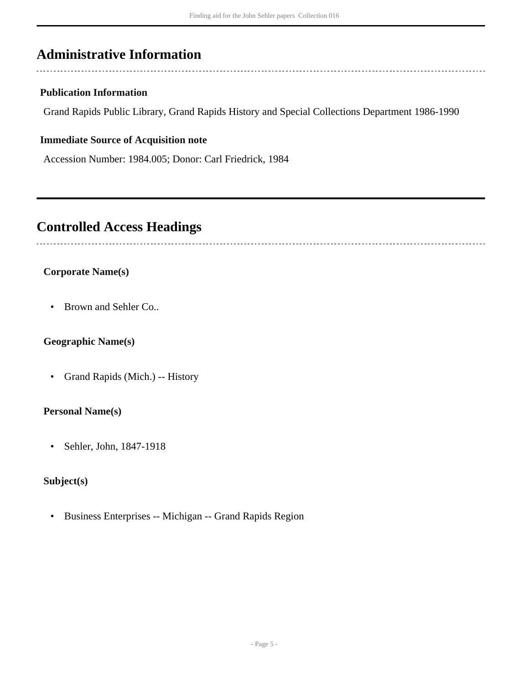### <span id="page-4-0"></span>**Administrative Information**

#### **Publication Information**

Grand Rapids Public Library, Grand Rapids History and Special Collections Department 1986-1990

#### **Immediate Source of Acquisition note**

Accession Number: 1984.005; Donor: Carl Friedrick, 1984

### <span id="page-4-1"></span>**Controlled Access Headings**

#### **Corporate Name(s)**

• Brown and Sehler Co..

#### **Geographic Name(s)**

• Grand Rapids (Mich.) -- History

#### **Personal Name(s)**

• Sehler, John, 1847-1918

#### **Subject(s)**

• Business Enterprises -- Michigan -- Grand Rapids Region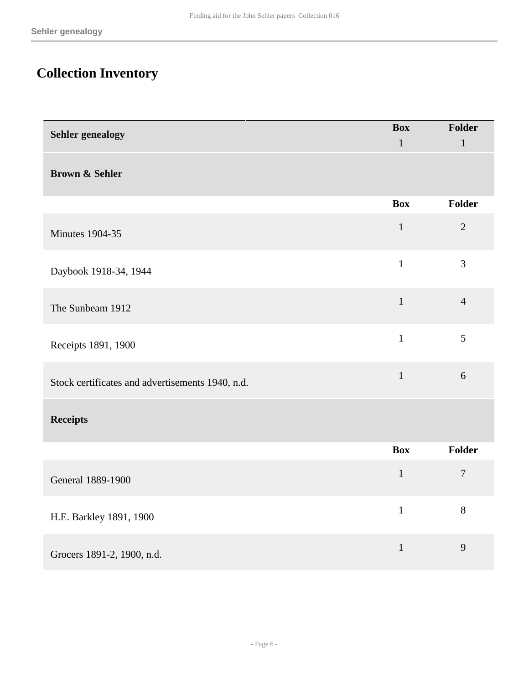# <span id="page-5-0"></span>**Collection Inventory**

| <b>Sehler</b> genealogy                          | <b>Box</b>   | Folder         |  |  |
|--------------------------------------------------|--------------|----------------|--|--|
|                                                  | $\mathbf{1}$ | $\mathbf{1}$   |  |  |
| <b>Brown &amp; Sehler</b>                        |              |                |  |  |
|                                                  | <b>Box</b>   | Folder         |  |  |
| <b>Minutes 1904-35</b>                           | $\mathbf{1}$ | $\overline{2}$ |  |  |
| Daybook 1918-34, 1944                            | $\mathbf{1}$ | $\overline{3}$ |  |  |
| The Sunbeam 1912                                 | $\mathbf{1}$ | $\overline{4}$ |  |  |
| Receipts 1891, 1900                              | $\mathbf{1}$ | 5              |  |  |
| Stock certificates and advertisements 1940, n.d. | $\mathbf{1}$ | 6              |  |  |
| <b>Receipts</b>                                  |              |                |  |  |
|                                                  | <b>Box</b>   | Folder         |  |  |
| General 1889-1900                                | $\mathbf{1}$ | $\overline{7}$ |  |  |
| H.E. Barkley 1891, 1900                          | $\mathbf{1}$ | 8              |  |  |
| Grocers 1891-2, 1900, n.d.                       | $\mathbf{1}$ | 9              |  |  |